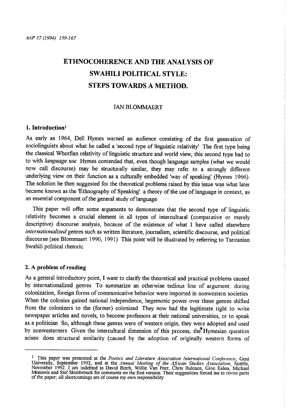# **ETHNOCOHERENCE AND THE ANALYSIS OF SWAHILI POLITICAL STYLE: STEPS TOWARDS A METHOD.**

## JAN BLOMMAERT

# **1. Introduction'**

As early as 1964, Dell Hymes warned an audience consisting of the first generation of sociolinguists about what he called a 'second type of linguistic relativity' The first type being the classical Whorfian relativity of linguistic stmcture and world view, this second type had to to with *language use* Hymes contended that, even though language samples (what we would now call discourse) may be stmcturally similar, they may refer to a strongly different underlying view on their function as a culturally embedded 'way of speaking' (Hymes 1966) The solution he then suggested for the theoretical problems raised by this issue was what later became known as the 'Ethnography of Speaking': a theory of the use of language in context, as an essential component of the general study of language.

This paper will offer some arguments to demonstrate that the second type of linguistic relativity becomes a crucial element in all types of intercultural (comparative or merely descriptive) discourse analysis, because of the existence of what I have called elsewhere *internationalized* genres such as written literature, journalism, scientific discourse, and political discourse (see Blommaert 1990, 1991) This point will be illustrated by refening to Tanzanian Swahili political rhetoric

## 2. A problem of reading

As a general introductory point, I want to clarify the theoretical and practical problems caused by internationalized genres. To summarize an otherwise tedious line of argument: during colonization, foreign forms of communicative behavior were imported in nonwestern societies When the colonies gained national independence, hegemonic power over these genres shifted from the colonizers to the (former) colonized. They now had the legitimate right to write newspaper articles and novels, to become professors at their national universities, or to speak as a politician So, although these genres were of western origin, they were adopted and used by nonwesterners Given the intercultural dimension of this process, the" Hymesian question arises: does structural similarity (caused by the adoption of originally western forms of

<sup>&</sup>lt;sup>1</sup> This paper was presented at the *Poetics and Literature Association International Conference*, Gent University, September 1992, and at the *Annual Meeting of the African Studies Association*, Seattle, November 1992. I am indebted to David Birch, Willie Van Peer, Chris Bulcaen, Gino Eelen, Michael Meeuwis and Stef Slembrouck for comments on the first version. Their suggestions forced me to revise parts of the paper; all shortcomings are of course my own responsibility.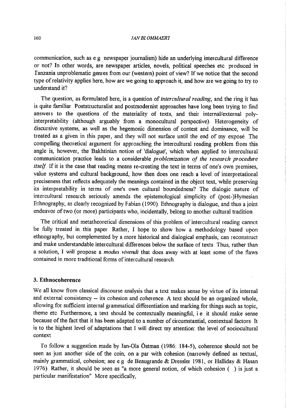communication, such as e g newspaper journalism) hide an underlying intercultural difference or not? In other words, are newspaper articles, novels, political speeches etc. produced in Tanzania unproblematic genres fiom our (western) point of view? If we notice that the second type of relativity applies here, how are we going to approach it, and how are we going to try to understand it?

The question, as formulated here, is a question of *intercultural reading,* and the ring it has is quite familiar . Poststructuralist and postmodernist approaches have long been trying to find answers to the questions of the materiality of texts, and their internal/external polyinterpretability (although arguably fiom a monocultural perspective}. Heterogeneity of discursive systems, as well as the hegemonic dimension of contest and dominance, will be treated as a given in this paper, and they will not surface until the end of my exposé. The compelling theoretical argument for approaching the intercultural reading problem fiom this angle is, however, the Bakhtinian notion of 'dialogue', which when applied to intercultural communication practice leads to a considerable *problemization of the research procedure itself* If it is the case that reading means re-creating the text in terms of one's own premises, value systems and cultural background, how then does one reach a level of interpretational preciseness that reflects adequately the meanings contained in the object text, while preserving its interpretability in terms of one's own cultural boundedness? The dialogic nature of intercultural research seriously amends the epistemological simplicity of (post-)Hymesian Ethnography, as clearly recognized by Fabian (1990) Ethnography is dialogue, and thus a joint endeavor of two (or more) participants who, incidentally, belong to another cultural tradition

The critical and metatheoretical dimensions of this problem of intercultural reading cannot be fully treated in this paper. Rather, I hope to show how a methodology based upon ethnography, but complemented by a more historical and dialogical emphasis, can reconstruct and make understandable intercultural differences below the surface of texts. Thus, rather than a solution, I will propose a *modus vivendi* that does away with at least some of the flaws contained in more traditional forms of intercultural research

## 3. Ethnocoherence

We all know from classical discourse analysis that a text makes sense by virtue of its internal and external consistency -- its cohesion and coherence. A text should be an organized whole, allowing for sufficient internal grammatical differentiation and marking for things such as topic, theme etc. Furthermore, a text should be contextually meaningful, i e it should make sense because of the fact that it has been adapted to a number of circumstantial, contextual factors It is to the highest level of adaptations that I will direct my attention: the level of sociocultural context

To follow a suggestion made by Jan-Oia Ostman (1986: 184-5), coherence should not be seen as just another side of the coin, on a par with cohesion (narrowly defined as textual, mainly grammatical, cohesion; see e g de Beaugrande & Dressler 1981, or Halliday & Hasan 1976). Rather, it should be seen as "a more general notion, of which cohesion ( ) is just a particular manifestation". More specifically,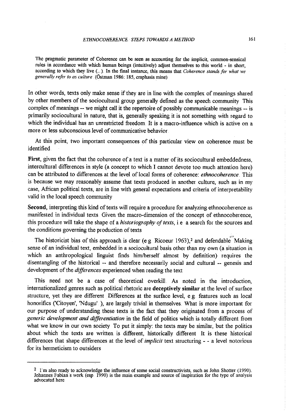The pragmatic parameter of Coherence can be seen as accounting for the implicit, common-sensical rules in accordance with which human beings (intnitively) adjust themselves to this world - in short, according to which they live (...). In the final instance, this means that *Coherence stands for what we generally refer to as culture* (Östman 1986: 185, emphasis mine)

In other words, texts only make sense if they are in line with the complex of meanings shared by other members of the sociocultural group generally defined as the speech community This complex of meanings -- we might call it the repertoire of possibly communicable meanings -- is primarily sociocultural in nature, that is, generally speaking it is not something with regard to which the individual has an unrestricted freedom It is a macro-influence which is active on a more or less subconscious level of communicative behavior

At this point, two important consequences of this particular view on coherence must be identified

First, given the fact that the coherence of a text is a matter of its sociocultural embeddedness. intercultural differences in style (a concept to which I cannot devote too much attention here) can be attributed to differences at the level of local forms of coherence: *ethnocoherence* Tins is because we may reasonably assume that texts produced in another culture, such as in my case, African political texts, are in line with general expectations and criteria of interpretability valid in the local speech community

Second, interpreting this kind of texts will require a procedure for analyzing ethnocoherence as manifested in individual texts Given the macro-dimension of the concept of ethnocoherence, this procedure will take the shape of a *historiography of texts*, i.e. a search for the sources and the conditions governing the production of texts

The historicist bias of this approach is clear (e g Ricoeur 1963),<sup>2</sup> and defendable Making sense of an individual text, embedded in a sociocultural basis other than my own (a situation in which an anthropological linguist finds him/herself almost by definition) requires the disentangling of the historical -- and therefore necessarily social and cultural -- genesis and development of the *differences* experienced when reading the text

This need not be a case of theoretical overkill. As noted in the introduction, internationalized genres such as political rhetoric are **deceptively similar** at the level of surface structure, yet they are different Differences at the surface level, e g. features such as local honorifics ('Citoyen', 'Ndugu' ), are largely trivial in themselves. What is more important for our purpose of understanding these texts is the fact that they originated from a process of *generic development and differentiation* in the field of politics which is totally different from what we know in our own society To put it simply: the texts may be similar, but the politics about which the texts are written is different, historically different It is these historical differences that shape differences at the level of *implicit* text structuring - - a level notorious for its hermeticism to outsiders

<sup>&</sup>lt;sup>2</sup> I'm also ready to acknowledge the influence of some social constructivists, such as John Shotter (1990). Johannes Fabian  $\epsilon$  work (esp 1990) is the main example and source of inspiration for the type of analysis advocated here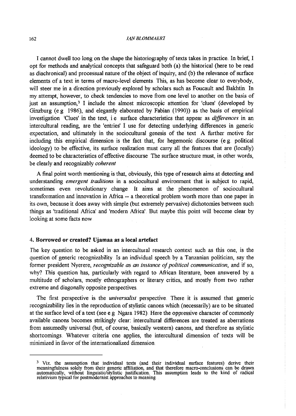#### 162 *!AN BLOMMAER1*

I cannot dwell too long on the shape the historiography of texts takes in practice. In brief, I opt for methods and analytical concepts that safeguard both (a) the historical (here to be read as diachronical) and processual nature of the object of inquiry, and (b) the relevance of surface elements of a text in terms of macro-level elements. This, as has become clear to everybody, will steer me in a direction previously explored by scholars such as Foucault and Bakhtin. In my attempt, however, to check tendencies to move from one level to another on the basis of just an assumption,<sup>3</sup> I include the almost microscopic attention for 'clues' (developed by Ginzburg (e.g 1986), and elegantly elaborated by Fabian (1990)) as the basis of empirical investigation 'Clues' in the text, i.e surface characteristics that appear as *differences* in an intercultural reading, are the 'entries' I use for detecting underlying differences in generic expectation, and ultimately in the sociocultural genesis of the text A further motive for including this empirical dimension is the fact that, for hegemonic discourse (e.g. political ideology) to be effective, its surface realization must cany all the features that are (locally) deemed to be characteristics of effective discourse The surface structure must, in other words, be clearly and recognizably *coherent* 

A final point worth mentioning is that, obviously, this type of research aims at detecting and understanding *emergent traditions* in a sociocultural environment that is subject to rapid, sometimes even revolutionary change. It aims at the phenomenon of sociocultural transformation and innovation in Afiica -- a theoretical problem worth more than one paper in its own, because it does away with simple (but extremely pervasive) dichotomies between such things as 'traditional Africa' and 'modem Afiica' But maybe this point will become clear by looking at some facts now

#### 4. Borrowed or created? Ujamaa as a **local** artefact

The key question to be asked in an intercultural research context such as this one, is the question of generic recognizability. Is an individual speech by a Tanzanian politician, say the former president Nyerere, *recognizable as an instance of political communication*, and if so, why? This question has, particularly with regard to Afiican literature, been answered by a multitude of scholars, mostly ethnographers or literary critics, and mostly from two rather extreme and diagonally opposite perspectives

The first perspective is the *universalist* perspective. There it is assumed that generic recognizability lies in the reproduction of stylistic canons which (necessarily) are to be situated at the surface level of a text (see e.g Ngara 1982). Here the oppressive character of commonly available canons becomes strikingly clear: intercultural differences are treated as aberrations from assumedly universal (but, of course, basically western) canons, and therefore as stylistic shortcomings. Whatever criteria one applies, the intercultural dimension of texts will be minimized in favor of the internationalized dimension

<sup>&</sup>lt;sup>3</sup> Viz. the assumption that individual texts (and their individual surface features) derive their meaningfulness solely from their generic affiliation, and that therefore macro-conclusions can be drawn automatically, without linguistic/stylistic justification. This assumption leads to the kind of radical relativism typical for postmodernist approaches to meaning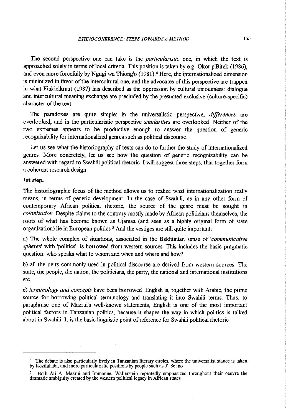The second perspective one can take is the *particularistic* one, in which the text is approached solely in terms of local criteria This position is taken by e.g. Okot p'Bitek (1986), and even more forcefully by Ngugi wa Thiong'o (1981) <sup>4</sup> Here, the internationalized dimension is minimized in favor of the intercultural one, and the advocates of this perspective are trapped in what Finkielkraut (1987) has described as the oppression by cultural uniqueness: dialogue and intercultural meaning exchange are precluded by the presumed exclusive (culture-specific) character of the text

The paradoxes are quite simple: in the universalistic perspective, *differences* are overlooked, and in the particularistic perspective *similarities* are overlooked. Neither of the two extremes appears to be productive enough to answer the question of generic recognizability for internationalized gemes such as political discourse

Let us see what the historiography of texts can do to further the study of internationalized genres More concretely, let us see how the question of generic recognizability can be answered with regard to Swahili political rhetoric I will suggest three steps, that together form a coherent research design

#### 1st step.

The historiographic focus of the method allows us to realize what internationalization really means, in terms of generic development In the case of Swahili, as in any other form of contemporary African political rhetoric, the source of the genre must be sought in *colonization*. Despite claims to the contrary mostly made by African politicians themselves, the roots of what has become known as Ujamaa (and seen as a highly original form of state organization) lie in European politics <sup>5</sup> And the vestiges are still quite important:

a) The whole complex of situations, associated in the Bakhtinian sense of *'communicative*  spheres' with 'politics', is borrowed from western sources. This includes the basic pragmatic question: who speaks what to whom and when and where and how?

b) all the units commonly used in political discourse are derived from western sources The state, the people, the nation, the politicians, the party, the national and international institutions etc.

c) *terminology and concepts* have been bonowed. English is, together with Arabic, the prime source for borrowing political terminology and translating it into Swahili terms. Thus, to paraphrase one of Mazrui's well-known statements, English is one of the most important political factors in Tanzanian politics, because it shapes the way in which politics is talked about in Swahili. It is the basic linguistic point of reference for Swahili political rhetoric

<sup>&</sup>lt;sup>4</sup> The debate is also particularly lively in Tanzanian literary circles, where the universalist stance is taken by Kezilahabi, and more particularistic positions by people such as T. Sengo

<sup>&</sup>lt;sup>5</sup> Both Ali A. Mazrui and Immanuel Wallerstein repeatedly emphasized throughout their oeuvre the dramatic ambiguity created by the western political legacy in Mrican states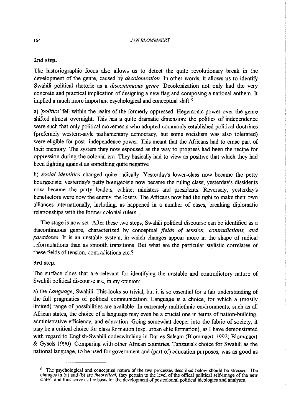## **2nd step.**

The historiographic focus also allows us to detect the quite revolutionary break in the development of the genre, caused by *decolonization* In other words, it allows us to identify Swahili political rhetoric as a *discontinuous genre* Decolonization not only had the very concrete and practical implication of designing a new flag and composing a national anthem. It implied a much more important psychological and conceptual shift <sup>6</sup>

a) *'politics'* fell within the realm of the formerly oppressed. Hegemonic power over the genre shifted almost overnight This has a quite dramatic dimension: the politics of independence were such that only political movements who adopted commonly established political doctrines (preferably western-style parliamentary democracy, but some socialism was also tolerated) were eligible for post- independence power. This meant that the Africans had to erase part of their memory. The system they now espoused as the way to progress had been the recipe for oppression during the colonial era. They basically had to view as positive that which they had been fighting against as something quite negative

b) *social identities* changed quite radically Yesterday's lower-class now became the petty bourgeoisie; yesterday's petty bourgeoisie now became the ruling class; yesterday's dissidents now became the party leaders, cabinet ministers and presidents.. Reversely, yesterday's benefactors were now the enemy, the losers The Africans now had the right to make their own alliances internationally, including, as happened in a number of cases, breaking diplomatic relationships with the former colonial rulers

The stage is now set After these two steps, Swahili political discourse can be identified as a discontinuous genre, characterized by conceptual *fields of tension, contradictions, and paradoxes* It is an unstable system, in which changes appear more in the shape of radical reformulations than as smooth transitions. But what are the particular stylistic correlates of these fields of tension, contradictions etc ?

## 3rd step.

The surface clues that are relevant for identifying the unstable and contradictory nature of Swahili political discourse are, in my opinion:

a) the *Language,* Swahili This looks so trivial, but it is so essential for a fair understanding of the full pragmatics of political communication. Language is a choice, for which a (mostly limited) range of possibilities are available In extremely multiethnic environments, such as all African states, the choice of a language may even be a crucial one in terms of nation-building, administrative efficiency, and education. Going somewhat deeper into the fabric of society, it may be a critical choice for class formation (esp. urban elite formation), as I have demonstrated with regard to English-Swahili codeswitching in Dar es Salaam (Blommaert 1992; Blommaert & Gysels 1990) Comparing with other African countries, Tanzania's choice for Swahili as the national language, to be used for government and (part of) education purposes, was as good as

<sup>6</sup> The psychological and conceptual nature of the two processes described below should be stressed. The changes in (a) and (b) are *theoretical,* they pertain to the level of the offical political self-image of the new states, and thus serve as the basis for the development of postcolonial political ideologies and analyses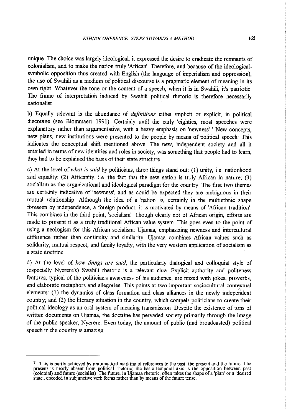unique The choice was largely ideological: it expressed the desire to eradicate the remnants of colonialism, and to make the nation truly 'African' Therefore, and because of the ideologicalsymbolic opposition thus created with English (the language of imperialism and oppression), the use of Swahili as a medium of political discourse is a pragmatic element of meaning in its own right. Whatever the tone or the content of a speech, when it is in Swahili, it's patriotic The frame of interpretation induced by Swahili political rhetoric is therefore necessarily nationalist

b) Equally relevant is the abundance of *definitions* either implicit or explicit, in political discourse (see Blommaert 1991). Certainly until the early 'eighties, most speeches were explanatory rather than argumentative, with a heavy emphasis on 'newness' <sup>7</sup> New concepts, new plans, new institutions were presented to the people by means of political speech This indicates the conceptual shift mentioned above The new, independent society and all it entailed in terms of new identities and roles in society, was something that people had to learn, they had to be explained the basis of their state structure.

c) At the level of *what* is *said* by politicians, three things stand out: (1) unity, i.e. nationhood and equality; (2) Africanity, i.e. the fact that the new nation is truly African in nature; (3) socialism as the organizational and ideological paradigm for the country The first two themes are certainly indicative of 'newness', and as could be expected they are ambiguous in their mutual relationship Although the idea of a 'nation' is, certainly in the multiethnic shape foreseen by independence, a foreign product, it is motivated by means of 'African tradition'. This combines in the third point, 'socialism' Though clearly not of African origin, efforts are made to present it as a truly traditional African value system This goes even to the point of using a neologism for this African socialism: Ujamaa, emphasizing newness and intercultural difference rather than continuity and similarity. Ujamaa combines African values such as solidarity, mutual respect, and family loyalty, with the very western application of socialism as a state doctrine

d) At the level of *how things are said,* the particularly dialogical and colloquial style of (especially Nyerere's) Swahili rhetoric is a relevant clue Explicit authority and politeness features, typical of the politician's awareness of his audience, are mixed with jokes, proverbs, and elaborate metaphors and allegories This points at two important sociocultural contextual elements: (1) the dynamics of class formation and class alliances in the newly indepehdent country; and (2) the literacy situation in the country, which compels politicians to create their political ideology as an oral system of meaning transmission Despite the existence of tons of written documents on Ujamaa, the doctrine has pervaded society primarily through the image of the public speaker, Nyerere. Even today, the amount of public (and broadcasted) political speech in the country is amazing.

 $<sup>7</sup>$  This is partly achieved by grammatical marking of references to the past, the present and the future. The</sup> present is nearly absent from political rhetoric; the basic temporal axis is the opposition between past (colonial) and future (socialist). The future, in Ujamaa rhetoric, often takes the shape of a 'plan' or a 'desired state', encoded in subjunctive verb forms rather than by means of the future tense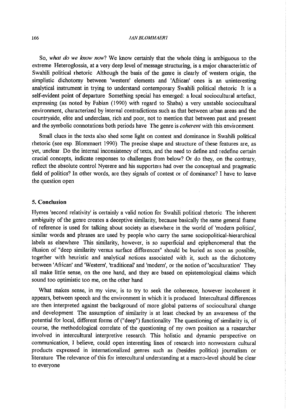#### 166 **FAN BLOMMAERT**

So, *what do we know now?* We know certainly that the whole thing is ambiguous to the extreme Heteroglossia, at a very deep level of message structuring, is a major characteristic of Swahili political rhetoric Although the basis of the geme is clearly of western origin, the simplistic dichotomy between 'western' elements and 'African' ones is an uninteresting analytical instrument in trying to understand contemporary Swahili political rhetoric It is <sup>a</sup> self-evident point of departure Something special has emerged: a local sociocultural artefact, expressing (as noted by Fabian (1990) with regard to Shaba) a very unstable sociocultural environment, characterized by internal contradictions such as that between urban areas and the countryside, elite and underclass, rich and poor, not to mention that between past and present and the symbolic connotations both periods have The geme is *coherent* with this environment.

Small clues in the texts also shed some light on contest and dominance in Swahili political rhetoric (see esp. Blommaert 1990). The precise shape and structure of these features are, as yet, unclear. Do the internal inconsistency of texts, and the need to define and redefine certain crucial concepts, indicate responses to challenges from below? Or do they, on the contrary, reflect the absolute control Nyerere and his supporters had over the conceptual and pragmatic field of politics? In other words, are they signals of contest or of dominance? I have to leave the question open

#### 5. **Conclusion**

Hymes 'second relativity' is certainly a valid notion for Swahili political rhetoric The inherent ambiguity of the geme creates a deceptive similarity, because basically the same general frame of reference is used for talking about society as elsewhere in the world of 'modern politics', similar words and phrases are used by people who cany the same sociopolitical-hierarchical labels as elsewhere This similarity, however, is so superficial and epiphenomenal that the illusion of "deep similarity versus surface differences" should be buried as soon as possible, together with hemistic and analytical notions associated with it, such as the dichotomy between 'African' and 'Western', 'traditional' and 'modem', or the notion of'acculturation' They all make little sense, on the one hand, and they are based on epistemological claims which sound too optimistic too me, on the other hand

What makes sense, in my view, is to try to seek the coherence, however incoherent it appears, between speech and the environment in which it is produced Intercultural differences are then interpreted against the background of more global patterns of sociocultural change and development. The assumption of similarity is at least checked by an awareness of the potential for local, different forms of ("deep") functionality The questioning of similarity is, of course, the methodological correlate of the questioning of my own position as a researcher involved in intercultural interpretive research. This holistic and dynamic perspective on communication, I believe, could open interesting lines of research into nonwestern cultural products expressed in internationalized gemes such as (besides politics) journalism or literature The relevance of this for intercultural understanding at a macro-level should be clear to everyone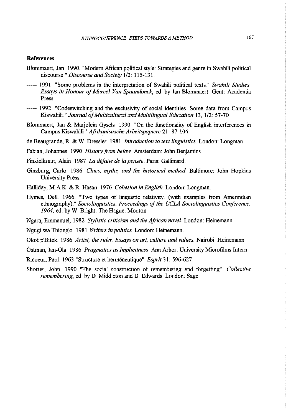# **References**

- Blommaert, Jan 1990. "Modern African political style: Strategies and genre in Swahili political discourse " Discourse and Society 1/2: 115-131.
- ----- 1991 "Some problems in the interpretation of Swahili political texts." Swahili Studies. *Essays in Honour of Marcel Van Spaandonck*, ed by Jan Blommaert Gent: Academia Press.
- ----- 1992 "Codeswitching and the exclusivity of social identities Some data from Campus Kiswahili." *Journal of Multicultural and Multilingual Education* 13, 1/2: 57-70
- Blommaert, Jan & Marjolein Gysels 1990 "On the functionality of English interferences in Campus Kiswahili *"Aftikanistische Arbeitspapiere* 21: 87-104.
- de Beaugrande, R & W Dressier. 1981 *Introduction to text linguistics.* London: Longman
- Fabian, Johannes. 1990. *History from below* Amsterdam: John Benjamins.
- Finkielkraut, Alain 1987. *La defaite de la pensee* Paris: Gallimard
- Ginzburg, Carlo 1986 *Clues, myths, and the historical method* Baltimore: John Hopkins University Press
- Halliday, M A K & R Hasan 1976 *Cohesion in English.* London: Longman
- Hymes, Dell. 1966 "Two types of linguistic relativity. (with examples from Amerindian ethnography) " *Sociolinguistics.. Proceedings of the UCLA Sociolinguistics Conference, 1964,* ed by W Bright The Hague: Mouton
- Ngara, Emmanuel, 1982 *Stylistic criticism and the African novel.* London: Heinemann
- Ngugi wa Thiong'o 1981 *Writers in politics.* London: Heinemann
- Okot p'Bitek 1986 *Artist, the ruler. Essays on art, culture and values.* Nairobi: Heinemann.
- Östman, Jan-Ola 1986 *Pragmatics as Implicitness* Ann Arbor: University Microfilms Intern
- Ricoeur, Paul. 1963 "Structure et hermeneutique" *Esprit* 31: 596-627
- Shotter, John 1990 "The social construction of remembering and forgetting" *Collective remembering,* ed by D Middleton and D Edwards London: Sage